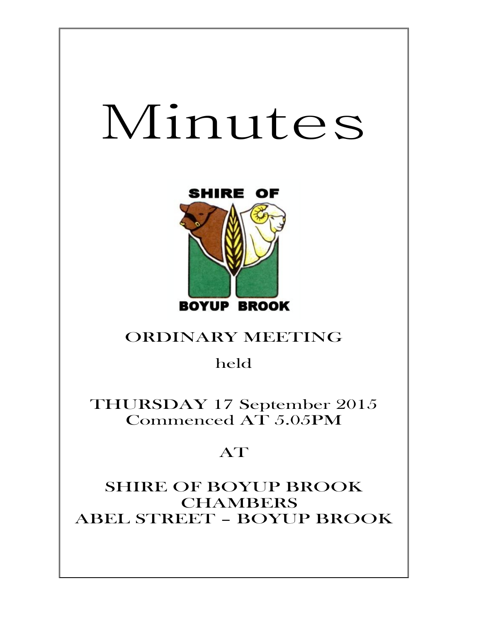# Minutes



# ORDINARY MEETING

held

THURSDAY 17 September 2015 Commenced AT 5.05PM

# AT

SHIRE OF BOYUP BROOK CHAMBERS ABEL STREET – BOYUP BROOK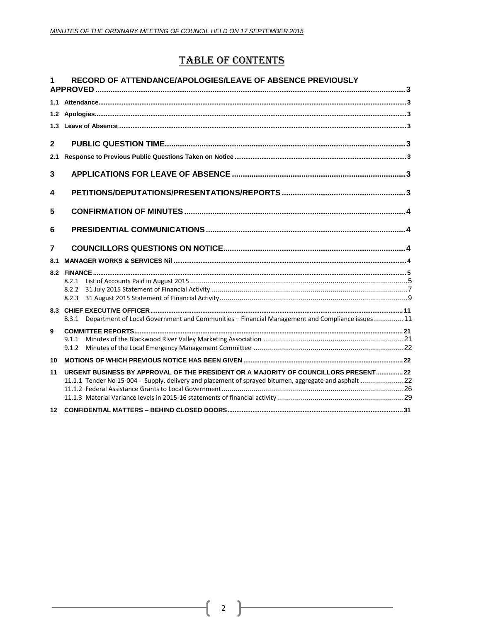## **TABLE OF CONTENTS**

|              | RECORD OF ATTENDANCE/APOLOGIES/LEAVE OF ABSENCE PREVIOUSLY                                                                                                                                    |  |
|--------------|-----------------------------------------------------------------------------------------------------------------------------------------------------------------------------------------------|--|
|              |                                                                                                                                                                                               |  |
|              |                                                                                                                                                                                               |  |
|              |                                                                                                                                                                                               |  |
| $\mathbf{2}$ |                                                                                                                                                                                               |  |
| 2.1          |                                                                                                                                                                                               |  |
| 3            |                                                                                                                                                                                               |  |
| 4            |                                                                                                                                                                                               |  |
| 5            |                                                                                                                                                                                               |  |
| 6            |                                                                                                                                                                                               |  |
| 7            |                                                                                                                                                                                               |  |
| 8.1          |                                                                                                                                                                                               |  |
|              |                                                                                                                                                                                               |  |
|              |                                                                                                                                                                                               |  |
|              | 8.2.2                                                                                                                                                                                         |  |
|              |                                                                                                                                                                                               |  |
|              | 8.3.1 Department of Local Government and Communities - Financial Management and Compliance issues 11                                                                                          |  |
| 9            |                                                                                                                                                                                               |  |
|              | 9.1.2                                                                                                                                                                                         |  |
| 10           |                                                                                                                                                                                               |  |
|              |                                                                                                                                                                                               |  |
| 11           | URGENT BUSINESS BY APPROVAL OF THE PRESIDENT OR A MAJORITY OF COUNCILLORS PRESENT 22<br>11.1.1 Tender No 15-004 - Supply, delivery and placement of sprayed bitumen, aggregate and asphalt 22 |  |
|              |                                                                                                                                                                                               |  |
|              |                                                                                                                                                                                               |  |
|              |                                                                                                                                                                                               |  |

2  $\}$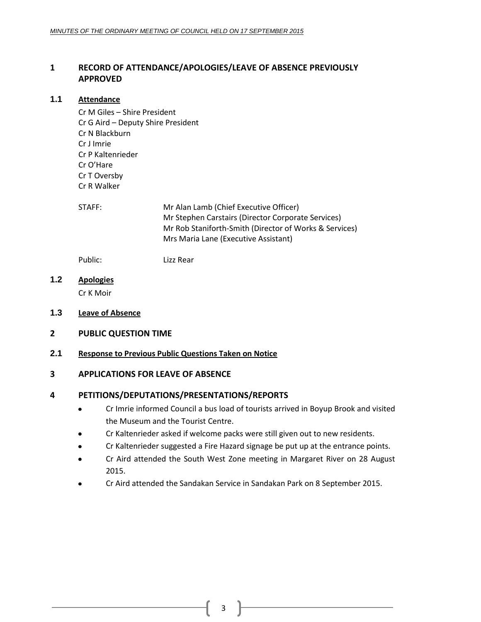### <span id="page-2-0"></span>**1 RECORD OF ATTENDANCE/APOLOGIES/LEAVE OF ABSENCE PREVIOUSLY APPROVED**

#### <span id="page-2-1"></span>**1.1 Attendance**

Cr M Giles – Shire President Cr G Aird – Deputy Shire President Cr N Blackburn Cr J Imrie Cr P Kaltenrieder Cr O'Hare Cr T Oversby Cr R Walker

STAFF: Mr Alan Lamb (Chief Executive Officer) Mr Stephen Carstairs (Director Corporate Services) Mr Rob Staniforth-Smith (Director of Works & Services) Mrs Maria Lane (Executive Assistant)

Public: Lizz Rear

<span id="page-2-2"></span>**1.2 Apologies**

Cr K Moir

- <span id="page-2-3"></span>**1.3 Leave of Absence**
- <span id="page-2-4"></span>**2 PUBLIC QUESTION TIME**

#### <span id="page-2-5"></span>**2.1 Response to Previous Public Questions Taken on Notice**

#### <span id="page-2-6"></span>**3 APPLICATIONS FOR LEAVE OF ABSENCE**

#### <span id="page-2-7"></span>**4 PETITIONS/DEPUTATIONS/PRESENTATIONS/REPORTS**

- Cr Imrie informed Council a bus load of tourists arrived in Boyup Brook and visited the Museum and the Tourist Centre.
- Cr Kaltenrieder asked if welcome packs were still given out to new residents.
- Cr Kaltenrieder suggested a Fire Hazard signage be put up at the entrance points.
- Cr Aird attended the South West Zone meeting in Margaret River on 28 August 2015.
- Cr Aird attended the Sandakan Service in Sandakan Park on 8 September 2015.

3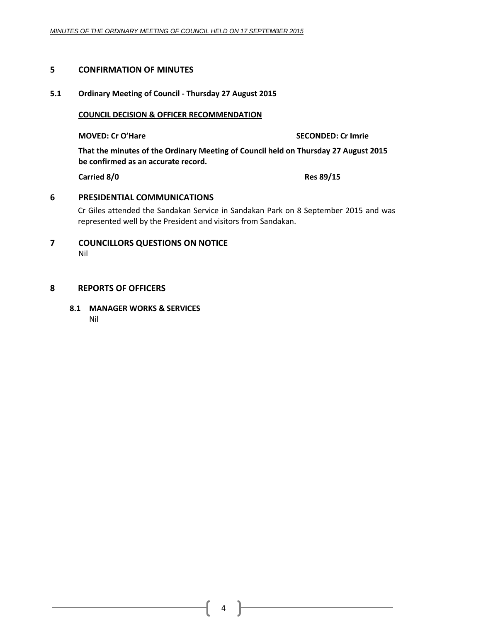#### <span id="page-3-0"></span>**5 CONFIRMATION OF MINUTES**

#### **5.1 Ordinary Meeting of Council - Thursday 27 August 2015**

**COUNCIL DECISION & OFFICER RECOMMENDATION**

**MOVED: Cr O'Hare SECONDED: Cr Imrie**

**That the minutes of the Ordinary Meeting of Council held on Thursday 27 August 2015 be confirmed as an accurate record.**

**Carried 8/0 Res 89/15**

#### <span id="page-3-1"></span>**6 PRESIDENTIAL COMMUNICATIONS**

Cr Giles attended the Sandakan Service in Sandakan Park on 8 September 2015 and was represented well by the President and visitors from Sandakan.

<span id="page-3-2"></span>**7 COUNCILLORS QUESTIONS ON NOTICE** Nil

#### <span id="page-3-3"></span>**8 REPORTS OF OFFICERS**

**8.1 MANAGER WORKS & SERVICES**

Nil

4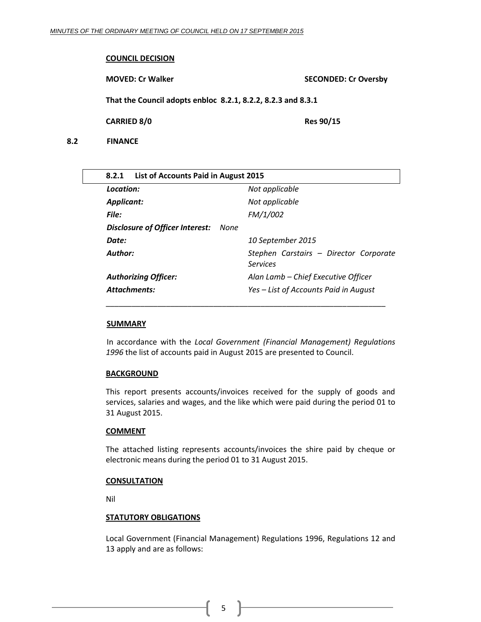#### **COUNCIL DECISION**

**MOVED: Cr Walker SECONDED: Cr Oversby**

**That the Council adopts enbloc 8.2.1, 8.2.2, 8.2.3 and 8.3.1**

<span id="page-4-0"></span>**CARRIED 8/0 Res 90/15** 

<span id="page-4-1"></span>**8.2 FINANCE**

| List of Accounts Paid in August 2015<br>8.2.1  |                                                    |  |  |  |  |  |
|------------------------------------------------|----------------------------------------------------|--|--|--|--|--|
| Location:                                      | Not applicable                                     |  |  |  |  |  |
| <b>Applicant:</b>                              | Not applicable                                     |  |  |  |  |  |
| File:                                          | FM/1/002                                           |  |  |  |  |  |
| <b>Disclosure of Officer Interest:</b><br>None |                                                    |  |  |  |  |  |
| Date:                                          | 10 September 2015                                  |  |  |  |  |  |
| Author:                                        | Stephen Carstairs - Director Corporate<br>Services |  |  |  |  |  |
| <b>Authorizing Officer:</b>                    | Alan Lamb - Chief Executive Officer                |  |  |  |  |  |
| <b>Attachments:</b>                            | Yes – List of Accounts Paid in August              |  |  |  |  |  |
|                                                |                                                    |  |  |  |  |  |

#### **SUMMARY**

In accordance with the *Local Government (Financial Management) Regulations 1996* the list of accounts paid in August 2015 are presented to Council.

#### **BACKGROUND**

This report presents accounts/invoices received for the supply of goods and services, salaries and wages, and the like which were paid during the period 01 to 31 August 2015.

#### **COMMENT**

The attached listing represents accounts/invoices the shire paid by cheque or electronic means during the period 01 to 31 August 2015.

#### **CONSULTATION**

Nil

#### **STATUTORY OBLIGATIONS**

Local Government (Financial Management) Regulations 1996, Regulations 12 and 13 apply and are as follows:

5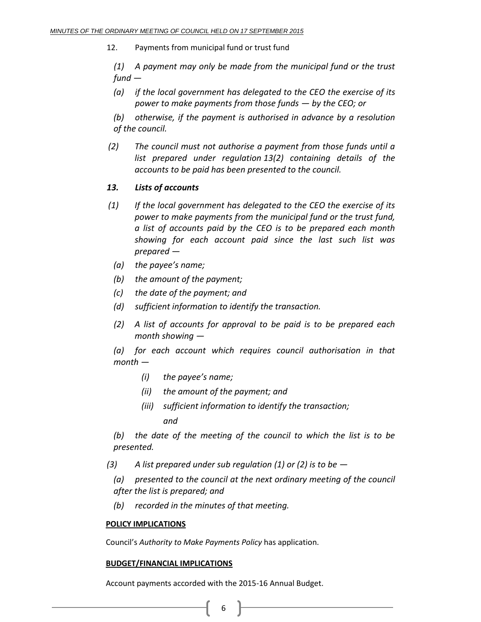12. Payments from municipal fund or trust fund

*(1) A payment may only be made from the municipal fund or the trust fund —*

- *(a) if the local government has delegated to the CEO the exercise of its power to make payments from those funds — by the CEO; or*
- *(b) otherwise, if the payment is authorised in advance by a resolution of the council.*
- *(2) The council must not authorise a payment from those funds until a list prepared under regulation 13(2) containing details of the accounts to be paid has been presented to the council.*

#### *13. Lists of accounts*

- *(1) If the local government has delegated to the CEO the exercise of its power to make payments from the municipal fund or the trust fund, a list of accounts paid by the CEO is to be prepared each month showing for each account paid since the last such list was prepared —*
	- *(a) the payee's name;*
	- *(b) the amount of the payment;*
	- *(c) the date of the payment; and*
	- *(d) sufficient information to identify the transaction.*
	- *(2) A list of accounts for approval to be paid is to be prepared each month showing —*

*(a) for each account which requires council authorisation in that month —*

- *(i) the payee's name;*
- *(ii) the amount of the payment; and*
- *(iii) sufficient information to identify the transaction; and*

*(b) the date of the meeting of the council to which the list is to be presented.*

*(3) A list prepared under sub regulation (1) or (2) is to be —*

*(a) presented to the council at the next ordinary meeting of the council after the list is prepared; and*

*(b) recorded in the minutes of that meeting.*

#### **POLICY IMPLICATIONS**

Council's *Authority to Make Payments Policy* has application.

#### **BUDGET/FINANCIAL IMPLICATIONS**

Account payments accorded with the 2015-16 Annual Budget.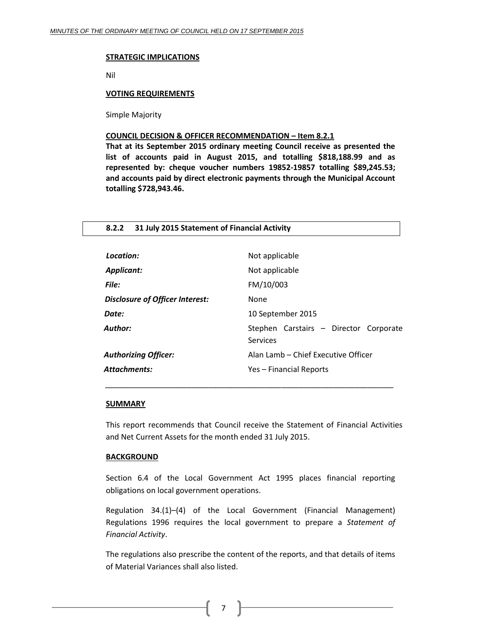#### **STRATEGIC IMPLICATIONS**

Nil

#### **VOTING REQUIREMENTS**

Simple Majority

#### **COUNCIL DECISION & OFFICER RECOMMENDATION – Item 8.2.1**

**That at its September 2015 ordinary meeting Council receive as presented the list of accounts paid in August 2015, and totalling \$818,188.99 and as represented by: cheque voucher numbers 19852-19857 totalling \$89,245.53; and accounts paid by direct electronic payments through the Municipal Account totalling \$728,943.46.**

<span id="page-6-0"></span>

| 31 July 2015 Statement of Financial Activity<br>8.2.2 |                                                           |  |  |  |
|-------------------------------------------------------|-----------------------------------------------------------|--|--|--|
|                                                       |                                                           |  |  |  |
| Location:                                             | Not applicable                                            |  |  |  |
| Applicant:                                            | Not applicable                                            |  |  |  |
| File:                                                 | FM/10/003                                                 |  |  |  |
| Disclosure of Officer Interest:                       | None                                                      |  |  |  |
| Date:                                                 | 10 September 2015                                         |  |  |  |
| Author:                                               | Stephen Carstairs - Director Corporate<br><b>Services</b> |  |  |  |
| <b>Authorizing Officer:</b>                           | Alan Lamb - Chief Executive Officer                       |  |  |  |
| Attachments:                                          | Yes - Financial Reports                                   |  |  |  |

#### **SUMMARY**

This report recommends that Council receive the Statement of Financial Activities and Net Current Assets for the month ended 31 July 2015.

*\_\_\_\_\_\_\_\_\_\_\_\_\_\_\_\_\_\_\_\_\_\_\_\_\_\_\_\_\_\_\_\_\_\_\_\_\_\_\_\_\_\_\_\_\_\_\_\_\_\_\_\_\_\_\_\_\_\_\_\_\_\_\_\_\_\_\_*

#### **BACKGROUND**

Section 6.4 of the Local Government Act 1995 places financial reporting obligations on local government operations.

Regulation 34.(1)–(4) of the Local Government (Financial Management) Regulations 1996 requires the local government to prepare a *Statement of Financial Activity*.

The regulations also prescribe the content of the reports, and that details of items of Material Variances shall also listed.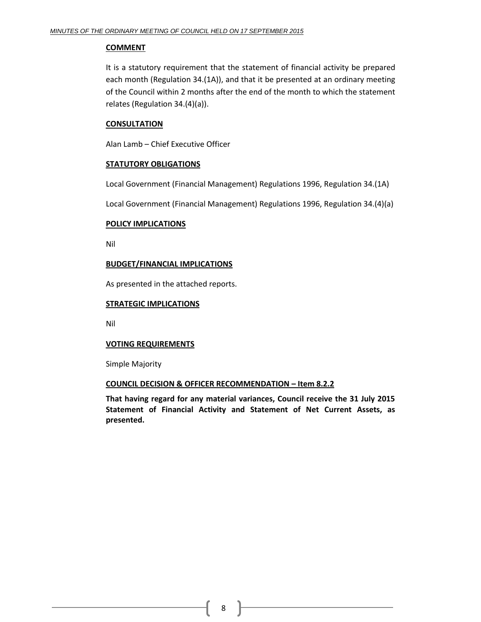#### **COMMENT**

It is a statutory requirement that the statement of financial activity be prepared each month (Regulation 34.(1A)), and that it be presented at an ordinary meeting of the Council within 2 months after the end of the month to which the statement relates (Regulation 34.(4)(a)).

#### **CONSULTATION**

Alan Lamb – Chief Executive Officer

#### **STATUTORY OBLIGATIONS**

Local Government (Financial Management) Regulations 1996, Regulation 34.(1A)

Local Government (Financial Management) Regulations 1996, Regulation 34.(4)(a)

#### **POLICY IMPLICATIONS**

Nil

#### **BUDGET/FINANCIAL IMPLICATIONS**

As presented in the attached reports.

#### **STRATEGIC IMPLICATIONS**

Nil

#### **VOTING REQUIREMENTS**

Simple Majority

#### **COUNCIL DECISION & OFFICER RECOMMENDATION – Item 8.2.2**

**That having regard for any material variances, Council receive the 31 July 2015 Statement of Financial Activity and Statement of Net Current Assets, as presented.**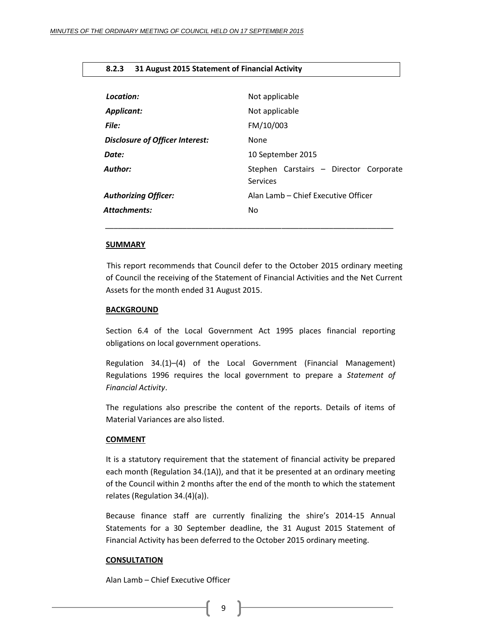#### <span id="page-8-0"></span>**8.2.3 31 August 2015 Statement of Financial Activity**

| Location:                              | Not applicable                                     |
|----------------------------------------|----------------------------------------------------|
| Applicant:                             | Not applicable                                     |
| File:                                  | FM/10/003                                          |
| <b>Disclosure of Officer Interest:</b> | <b>None</b>                                        |
| Date:                                  | 10 September 2015                                  |
| Author:                                | Stephen Carstairs - Director Corporate<br>Services |
| <b>Authorizing Officer:</b>            | Alan Lamb – Chief Executive Officer                |
| <b>Attachments:</b>                    | No.                                                |
|                                        |                                                    |

#### **SUMMARY**

This report recommends that Council defer to the October 2015 ordinary meeting of Council the receiving of the Statement of Financial Activities and the Net Current Assets for the month ended 31 August 2015.

#### **BACKGROUND**

Section 6.4 of the Local Government Act 1995 places financial reporting obligations on local government operations.

Regulation 34.(1)–(4) of the Local Government (Financial Management) Regulations 1996 requires the local government to prepare a *Statement of Financial Activity*.

The regulations also prescribe the content of the reports. Details of items of Material Variances are also listed.

#### **COMMENT**

It is a statutory requirement that the statement of financial activity be prepared each month (Regulation 34.(1A)), and that it be presented at an ordinary meeting of the Council within 2 months after the end of the month to which the statement relates (Regulation 34.(4)(a)).

Because finance staff are currently finalizing the shire's 2014-15 Annual Statements for a 30 September deadline, the 31 August 2015 Statement of Financial Activity has been deferred to the October 2015 ordinary meeting.

#### **CONSULTATION**

Alan Lamb – Chief Executive Officer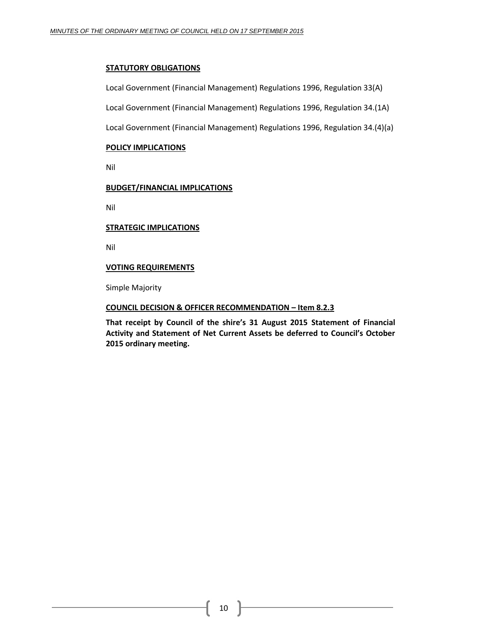#### **STATUTORY OBLIGATIONS**

Local Government (Financial Management) Regulations 1996, Regulation 33(A)

Local Government (Financial Management) Regulations 1996, Regulation 34.(1A)

Local Government (Financial Management) Regulations 1996, Regulation 34.(4)(a)

#### **POLICY IMPLICATIONS**

Nil

#### **BUDGET/FINANCIAL IMPLICATIONS**

Nil

#### **STRATEGIC IMPLICATIONS**

Nil

#### **VOTING REQUIREMENTS**

Simple Majority

#### **COUNCIL DECISION & OFFICER RECOMMENDATION – Item 8.2.3**

**That receipt by Council of the shire's 31 August 2015 Statement of Financial Activity and Statement of Net Current Assets be deferred to Council's October 2015 ordinary meeting.**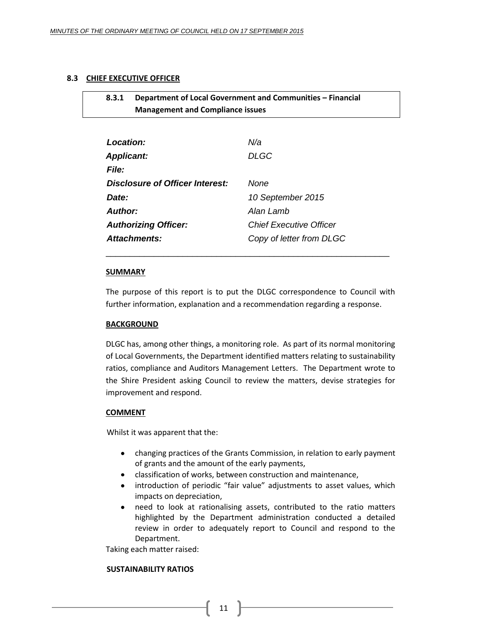#### <span id="page-10-1"></span><span id="page-10-0"></span>**8.3 CHIEF EXECUTIVE OFFICER**

## **8.3.1 Department of Local Government and Communities – Financial Management and Compliance issues**

| Location:                       | N/a                            |
|---------------------------------|--------------------------------|
| <b>Applicant:</b>               | <b>DLGC</b>                    |
| <b>File:</b>                    |                                |
| Disclosure of Officer Interest: | None                           |
| Date:                           | 10 September 2015              |
| Author:                         | Alan Lamb                      |
| <b>Authorizing Officer:</b>     | <b>Chief Executive Officer</b> |
| <b>Attachments:</b>             | Copy of letter from DLGC       |

#### **SUMMARY**

The purpose of this report is to put the DLGC correspondence to Council with further information, explanation and a recommendation regarding a response.

\_\_\_\_\_\_\_\_\_\_\_\_\_\_\_\_\_\_\_\_\_\_\_\_\_\_\_\_\_\_\_\_\_\_\_\_\_\_\_\_\_\_\_\_\_\_\_\_\_\_\_\_\_\_\_\_\_\_\_

#### **BACKGROUND**

DLGC has, among other things, a monitoring role. As part of its normal monitoring of Local Governments, the Department identified matters relating to sustainability ratios, compliance and Auditors Management Letters. The Department wrote to the Shire President asking Council to review the matters, devise strategies for improvement and respond.

#### **COMMENT**

Whilst it was apparent that the:

- changing practices of the Grants Commission, in relation to early payment of grants and the amount of the early payments,
- classification of works, between construction and maintenance,
- introduction of periodic "fair value" adjustments to asset values, which impacts on depreciation,
- need to look at rationalising assets, contributed to the ratio matters  $\bullet$ highlighted by the Department administration conducted a detailed review in order to adequately report to Council and respond to the Department.

Taking each matter raised:

#### **SUSTAINABILITY RATIOS**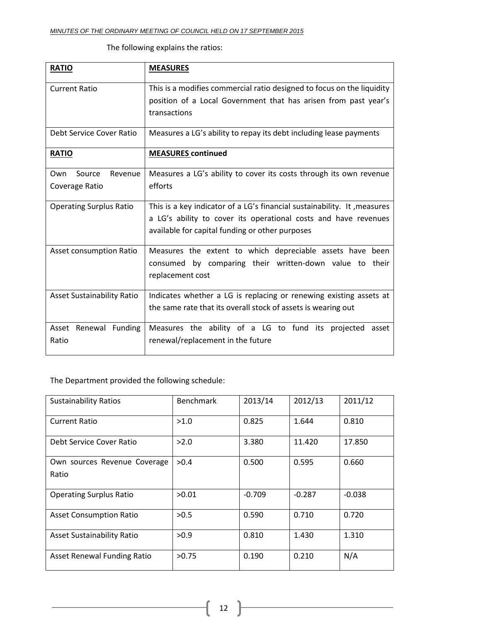| <b>RATIO</b>                      | <b>MEASURES</b>                                                          |  |  |  |
|-----------------------------------|--------------------------------------------------------------------------|--|--|--|
|                                   |                                                                          |  |  |  |
| <b>Current Ratio</b>              | This is a modifies commercial ratio designed to focus on the liquidity   |  |  |  |
|                                   | position of a Local Government that has arisen from past year's          |  |  |  |
|                                   | transactions                                                             |  |  |  |
| Debt Service Cover Ratio          | Measures a LG's ability to repay its debt including lease payments       |  |  |  |
| <b>RATIO</b>                      | <b>MEASURES</b> continued                                                |  |  |  |
| Revenue<br>Own<br>Source          | Measures a LG's ability to cover its costs through its own revenue       |  |  |  |
| Coverage Ratio                    | efforts                                                                  |  |  |  |
| <b>Operating Surplus Ratio</b>    | This is a key indicator of a LG's financial sustainability. It, measures |  |  |  |
|                                   | a LG's ability to cover its operational costs and have revenues          |  |  |  |
|                                   | available for capital funding or other purposes                          |  |  |  |
| Asset consumption Ratio           | Measures the extent to which depreciable assets have been                |  |  |  |
|                                   | consumed by comparing their written-down value to their                  |  |  |  |
|                                   | replacement cost                                                         |  |  |  |
| <b>Asset Sustainability Ratio</b> | Indicates whether a LG is replacing or renewing existing assets at       |  |  |  |
|                                   | the same rate that its overall stock of assets is wearing out            |  |  |  |
| Asset Renewal Funding             | Measures the ability of a LG to fund its projected asset                 |  |  |  |
| Ratio                             | renewal/replacement in the future                                        |  |  |  |
|                                   |                                                                          |  |  |  |

The following explains the ratios:

The Department provided the following schedule:

| <b>Sustainability Ratios</b>      | <b>Benchmark</b> | 2013/14  | 2012/13  | 2011/12  |
|-----------------------------------|------------------|----------|----------|----------|
| <b>Current Ratio</b>              | >1.0             | 0.825    | 1.644    | 0.810    |
| Debt Service Cover Ratio          | >2.0             | 3.380    | 11.420   | 17.850   |
| Own sources Revenue Coverage      | >0.4             | 0.500    | 0.595    | 0.660    |
| Ratio                             |                  |          |          |          |
| <b>Operating Surplus Ratio</b>    | >0.01            | $-0.709$ | $-0.287$ | $-0.038$ |
| <b>Asset Consumption Ratio</b>    | >0.5             | 0.590    | 0.710    | 0.720    |
| <b>Asset Sustainability Ratio</b> | >0.9             | 0.810    | 1.430    | 1.310    |
| Asset Renewal Funding Ratio       | >0.75            | 0.190    | 0.210    | N/A      |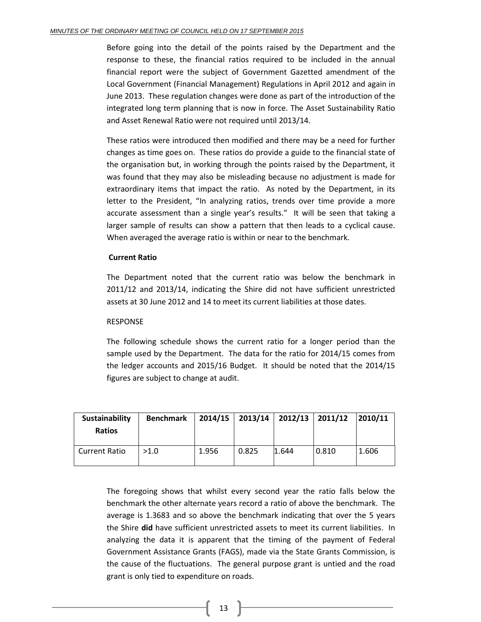Before going into the detail of the points raised by the Department and the response to these, the financial ratios required to be included in the annual financial report were the subject of Government Gazetted amendment of the Local Government (Financial Management) Regulations in April 2012 and again in June 2013. These regulation changes were done as part of the introduction of the integrated long term planning that is now in force. The Asset Sustainability Ratio and Asset Renewal Ratio were not required until 2013/14.

These ratios were introduced then modified and there may be a need for further changes as time goes on. These ratios do provide a guide to the financial state of the organisation but, in working through the points raised by the Department, it was found that they may also be misleading because no adjustment is made for extraordinary items that impact the ratio. As noted by the Department, in its letter to the President, "In analyzing ratios, trends over time provide a more accurate assessment than a single year's results." It will be seen that taking a larger sample of results can show a pattern that then leads to a cyclical cause. When averaged the average ratio is within or near to the benchmark.

#### **Current Ratio**

The Department noted that the current ratio was below the benchmark in 2011/12 and 2013/14, indicating the Shire did not have sufficient unrestricted assets at 30 June 2012 and 14 to meet its current liabilities at those dates.

#### RESPONSE

The following schedule shows the current ratio for a longer period than the sample used by the Department. The data for the ratio for 2014/15 comes from the ledger accounts and 2015/16 Budget. It should be noted that the 2014/15 figures are subject to change at audit.

| Sustainability<br><b>Ratios</b> | <b>Benchmark</b> | 2014/15 |       | $2013/14$   2012/13   2011/12 |       | 2010/11 |
|---------------------------------|------------------|---------|-------|-------------------------------|-------|---------|
| Current Ratio                   | >1.0             | 1.956   | 0.825 | 1.644                         | 0.810 | 1.606   |

The foregoing shows that whilst every second year the ratio falls below the benchmark the other alternate years record a ratio of above the benchmark. The average is 1.3683 and so above the benchmark indicating that over the 5 years the Shire **did** have sufficient unrestricted assets to meet its current liabilities. In analyzing the data it is apparent that the timing of the payment of Federal Government Assistance Grants (FAGS), made via the State Grants Commission, is the cause of the fluctuations. The general purpose grant is untied and the road grant is only tied to expenditure on roads.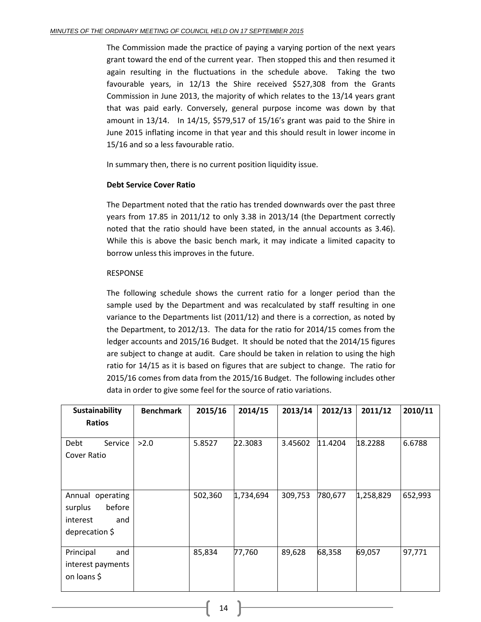The Commission made the practice of paying a varying portion of the next years grant toward the end of the current year. Then stopped this and then resumed it again resulting in the fluctuations in the schedule above. Taking the two favourable years, in 12/13 the Shire received \$527,308 from the Grants Commission in June 2013, the majority of which relates to the 13/14 years grant that was paid early. Conversely, general purpose income was down by that amount in 13/14. In 14/15, \$579,517 of 15/16's grant was paid to the Shire in June 2015 inflating income in that year and this should result in lower income in 15/16 and so a less favourable ratio.

In summary then, there is no current position liquidity issue.

#### **Debt Service Cover Ratio**

The Department noted that the ratio has trended downwards over the past three years from 17.85 in 2011/12 to only 3.38 in 2013/14 (the Department correctly noted that the ratio should have been stated, in the annual accounts as 3.46). While this is above the basic bench mark, it may indicate a limited capacity to borrow unless this improves in the future.

#### RESPONSE

The following schedule shows the current ratio for a longer period than the sample used by the Department and was recalculated by staff resulting in one variance to the Departments list (2011/12) and there is a correction, as noted by the Department, to 2012/13. The data for the ratio for 2014/15 comes from the ledger accounts and 2015/16 Budget. It should be noted that the 2014/15 figures are subject to change at audit. Care should be taken in relation to using the high ratio for 14/15 as it is based on figures that are subject to change. The ratio for 2015/16 comes from data from the 2015/16 Budget. The following includes other data in order to give some feel for the source of ratio variations.

| Sustainability                                                                  | <b>Benchmark</b> | 2015/16 | 2014/15   | 2013/14 | 2012/13 | 2011/12   | 2010/11 |
|---------------------------------------------------------------------------------|------------------|---------|-----------|---------|---------|-----------|---------|
| <b>Ratios</b>                                                                   |                  |         |           |         |         |           |         |
| Service<br>Debt<br>Cover Ratio                                                  | >2.0             | 5.8527  | 22.3083   | 3.45602 | 11.4204 | 18.2288   | 6.6788  |
| Annual operating<br>before<br>surplus<br>interest<br>and<br>deprecation $\zeta$ |                  | 502,360 | 1,734,694 | 309,753 | 780,677 | 1,258,829 | 652,993 |
| Principal<br>and<br>interest payments<br>on loans \$                            |                  | 85,834  | 77,760    | 89,628  | 68,358  | 69,057    | 97,771  |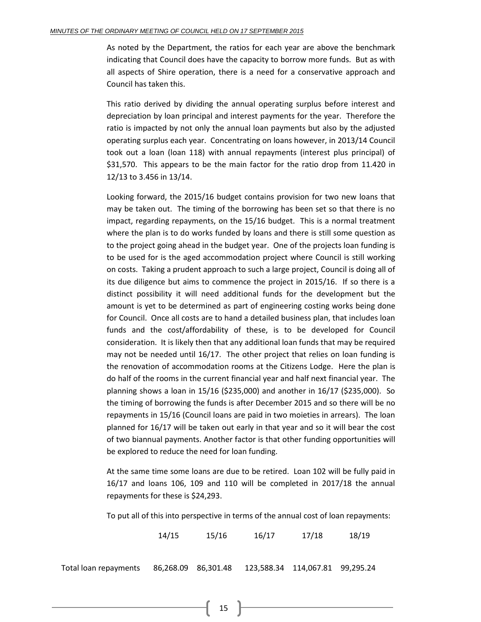As noted by the Department, the ratios for each year are above the benchmark indicating that Council does have the capacity to borrow more funds. But as with all aspects of Shire operation, there is a need for a conservative approach and Council has taken this.

This ratio derived by dividing the annual operating surplus before interest and depreciation by loan principal and interest payments for the year. Therefore the ratio is impacted by not only the annual loan payments but also by the adjusted operating surplus each year. Concentrating on loans however, in 2013/14 Council took out a loan (loan 118) with annual repayments (interest plus principal) of \$31,570. This appears to be the main factor for the ratio drop from 11.420 in 12/13 to 3.456 in 13/14.

Looking forward, the 2015/16 budget contains provision for two new loans that may be taken out. The timing of the borrowing has been set so that there is no impact, regarding repayments, on the 15/16 budget. This is a normal treatment where the plan is to do works funded by loans and there is still some question as to the project going ahead in the budget year. One of the projects loan funding is to be used for is the aged accommodation project where Council is still working on costs. Taking a prudent approach to such a large project, Council is doing all of its due diligence but aims to commence the project in 2015/16. If so there is a distinct possibility it will need additional funds for the development but the amount is yet to be determined as part of engineering costing works being done for Council. Once all costs are to hand a detailed business plan, that includes loan funds and the cost/affordability of these, is to be developed for Council consideration. It is likely then that any additional loan funds that may be required may not be needed until 16/17. The other project that relies on loan funding is the renovation of accommodation rooms at the Citizens Lodge. Here the plan is do half of the rooms in the current financial year and half next financial year. The planning shows a loan in 15/16 (\$235,000) and another in 16/17 (\$235,000). So the timing of borrowing the funds is after December 2015 and so there will be no repayments in 15/16 (Council loans are paid in two moieties in arrears). The loan planned for 16/17 will be taken out early in that year and so it will bear the cost of two biannual payments. Another factor is that other funding opportunities will be explored to reduce the need for loan funding.

At the same time some loans are due to be retired. Loan 102 will be fully paid in 16/17 and loans 106, 109 and 110 will be completed in 2017/18 the annual repayments for these is \$24,293.

To put all of this into perspective in terms of the annual cost of loan repayments:

14/15 15/16 16/17 17/18 18/19

Total loan repayments 86,301.48 123,588.34 114,067.81 99,295.24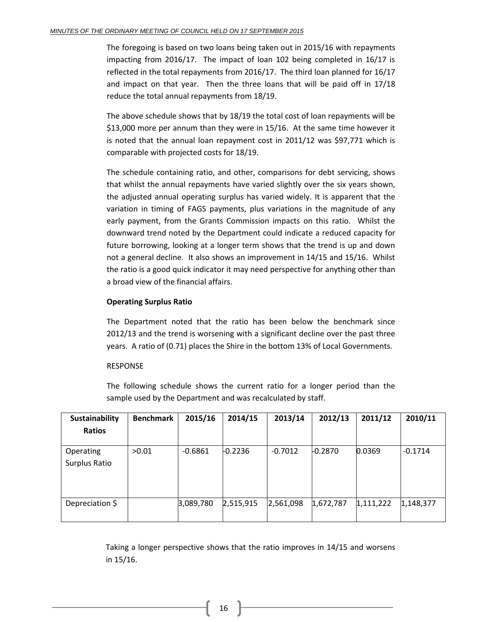The foregoing is based on two loans being taken out in 2015/16 with repayments impacting from 2016/17. The impact of loan 102 being completed in 16/17 is reflected in the total repayments from 2016/17. The third loan planned for 16/17 and impact on that year. Then the three loans that will be paid off in 17/18 reduce the total annual repayments from 18/19.

The above schedule shows that by 18/19 the total cost of loan repayments will be \$13,000 more per annum than they were in 15/16. At the same time however it is noted that the annual loan repayment cost in 2011/12 was \$97,771 which is comparable with projected costs for 18/19.

The schedule containing ratio, and other, comparisons for debt servicing, shows that whilst the annual repayments have varied slightly over the six years shown, the adjusted annual operating surplus has varied widely. It is apparent that the variation in timing of FAGS payments, plus variations in the magnitude of any early payment, from the Grants Commission impacts on this ratio. Whilst the downward trend noted by the Department could indicate a reduced capacity for future borrowing, looking at a longer term shows that the trend is up and down not a general decline. It also shows an improvement in 14/15 and 15/16. Whilst the ratio is a good quick indicator it may need perspective for anything other than a broad view of the financial affairs.

#### **Operating Surplus Ratio**

The Department noted that the ratio has been below the benchmark since 2012/13 and the trend is worsening with a significant decline over the past three years. A ratio of (0.71) places the Shire in the bottom 13% of Local Governments.

#### RESPONSE

The following schedule shows the current ratio for a longer period than the sample used by the Department and was recalculated by staff.

| Sustainability                    | <b>Benchmark</b> | 2015/16   | 2014/15   | 2013/14   | 2012/13   | 2011/12   | 2010/11   |
|-----------------------------------|------------------|-----------|-----------|-----------|-----------|-----------|-----------|
| <b>Ratios</b>                     |                  |           |           |           |           |           |           |
| <b>Operating</b><br>Surplus Ratio | >0.01            | $-0.6861$ | $-0.2236$ | $-0.7012$ | $-0.2870$ | 0.0369    | $-0.1714$ |
| Depreciation \$                   |                  | 3,089,780 | 2,515,915 | 2,561,098 | 1,672,787 | 1,111,222 | 1,148,377 |

Taking a longer perspective shows that the ratio improves in 14/15 and worsens in 15/16.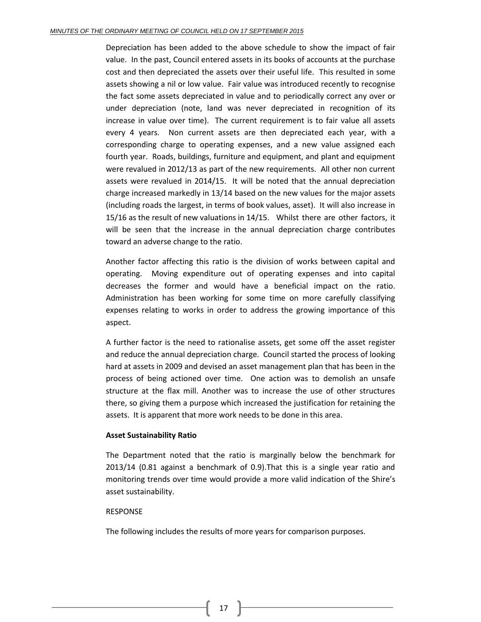Depreciation has been added to the above schedule to show the impact of fair value. In the past, Council entered assets in its books of accounts at the purchase cost and then depreciated the assets over their useful life. This resulted in some assets showing a nil or low value. Fair value was introduced recently to recognise the fact some assets depreciated in value and to periodically correct any over or under depreciation (note, land was never depreciated in recognition of its increase in value over time). The current requirement is to fair value all assets every 4 years. Non current assets are then depreciated each year, with a corresponding charge to operating expenses, and a new value assigned each fourth year. Roads, buildings, furniture and equipment, and plant and equipment were revalued in 2012/13 as part of the new requirements. All other non current assets were revalued in 2014/15. It will be noted that the annual depreciation charge increased markedly in 13/14 based on the new values for the major assets (including roads the largest, in terms of book values, asset). It will also increase in 15/16 as the result of new valuations in 14/15. Whilst there are other factors, it will be seen that the increase in the annual depreciation charge contributes toward an adverse change to the ratio.

Another factor affecting this ratio is the division of works between capital and operating. Moving expenditure out of operating expenses and into capital decreases the former and would have a beneficial impact on the ratio. Administration has been working for some time on more carefully classifying expenses relating to works in order to address the growing importance of this aspect.

A further factor is the need to rationalise assets, get some off the asset register and reduce the annual depreciation charge. Council started the process of looking hard at assets in 2009 and devised an asset management plan that has been in the process of being actioned over time. One action was to demolish an unsafe structure at the flax mill. Another was to increase the use of other structures there, so giving them a purpose which increased the justification for retaining the assets. It is apparent that more work needs to be done in this area.

#### **Asset Sustainability Ratio**

The Department noted that the ratio is marginally below the benchmark for 2013/14 (0.81 against a benchmark of 0.9).That this is a single year ratio and monitoring trends over time would provide a more valid indication of the Shire's asset sustainability.

#### RESPONSE

The following includes the results of more years for comparison purposes.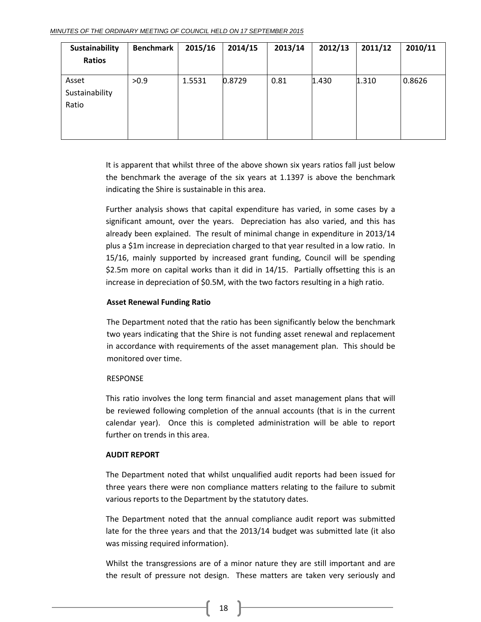| Sustainability<br>Ratios         | <b>Benchmark</b> | 2015/16 | 2014/15 | 2013/14 | 2012/13 | 2011/12 | 2010/11 |
|----------------------------------|------------------|---------|---------|---------|---------|---------|---------|
| Asset<br>Sustainability<br>Ratio | >0.9             | 1.5531  | 0.8729  | 0.81    | 1.430   | 1.310   | 0.8626  |

It is apparent that whilst three of the above shown six years ratios fall just below the benchmark the average of the six years at 1.1397 is above the benchmark indicating the Shire is sustainable in this area.

Further analysis shows that capital expenditure has varied, in some cases by a significant amount, over the years. Depreciation has also varied, and this has already been explained. The result of minimal change in expenditure in 2013/14 plus a \$1m increase in depreciation charged to that year resulted in a low ratio. In 15/16, mainly supported by increased grant funding, Council will be spending \$2.5m more on capital works than it did in 14/15. Partially offsetting this is an increase in depreciation of \$0.5M, with the two factors resulting in a high ratio.

#### **Asset Renewal Funding Ratio**

The Department noted that the ratio has been significantly below the benchmark two years indicating that the Shire is not funding asset renewal and replacement in accordance with requirements of the asset management plan. This should be monitored over time.

#### **RESPONSE**

This ratio involves the long term financial and asset management plans that will be reviewed following completion of the annual accounts (that is in the current calendar year). Once this is completed administration will be able to report further on trends in this area.

#### **AUDIT REPORT**

The Department noted that whilst unqualified audit reports had been issued for three years there were non compliance matters relating to the failure to submit various reports to the Department by the statutory dates.

The Department noted that the annual compliance audit report was submitted late for the three years and that the 2013/14 budget was submitted late (it also was missing required information).

Whilst the transgressions are of a minor nature they are still important and are the result of pressure not design. These matters are taken very seriously and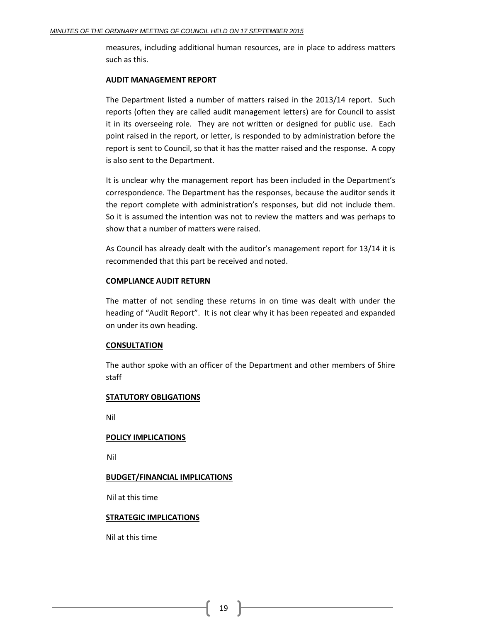measures, including additional human resources, are in place to address matters such as this.

#### **AUDIT MANAGEMENT REPORT**

The Department listed a number of matters raised in the 2013/14 report. Such reports (often they are called audit management letters) are for Council to assist it in its overseeing role. They are not written or designed for public use. Each point raised in the report, or letter, is responded to by administration before the report is sent to Council, so that it has the matter raised and the response. A copy is also sent to the Department.

It is unclear why the management report has been included in the Department's correspondence. The Department has the responses, because the auditor sends it the report complete with administration's responses, but did not include them. So it is assumed the intention was not to review the matters and was perhaps to show that a number of matters were raised.

As Council has already dealt with the auditor's management report for 13/14 it is recommended that this part be received and noted.

#### **COMPLIANCE AUDIT RETURN**

The matter of not sending these returns in on time was dealt with under the heading of "Audit Report". It is not clear why it has been repeated and expanded on under its own heading.

#### **CONSULTATION**

The author spoke with an officer of the Department and other members of Shire staff

#### **STATUTORY OBLIGATIONS**

Nil

#### **POLICY IMPLICATIONS**

Nil

#### **BUDGET/FINANCIAL IMPLICATIONS**

Nil at this time

#### **STRATEGIC IMPLICATIONS**

Nil at this time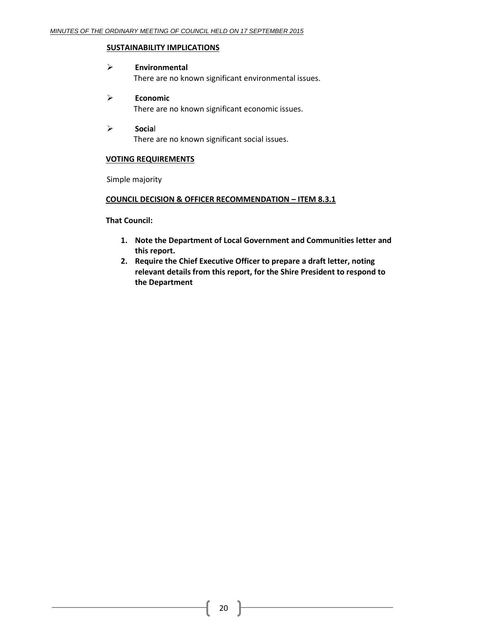#### **SUSTAINABILITY IMPLICATIONS**

#### **Environmental**

There are no known significant environmental issues.

#### **Economic** There are no known significant economic issues.

 **Socia**l There are no known significant social issues.

#### **VOTING REQUIREMENTS**

Simple majority

#### **COUNCIL DECISION & OFFICER RECOMMENDATION – ITEM 8.3.1**

**That Council:**

- **1. Note the Department of Local Government and Communities letter and this report.**
- **2. Require the Chief Executive Officer to prepare a draft letter, noting relevant details from this report, for the Shire President to respond to the Department**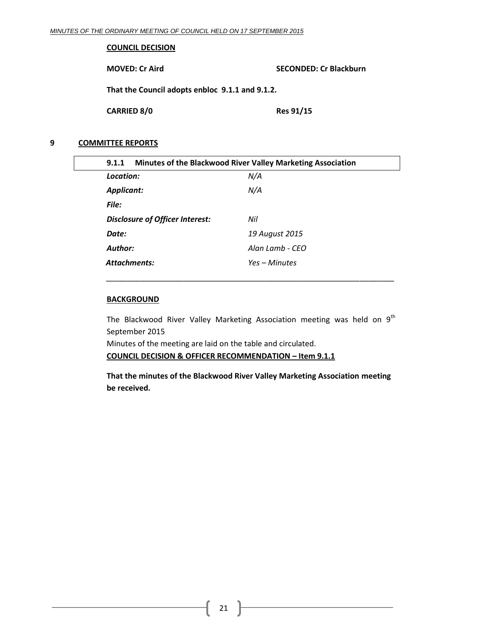#### **COUNCIL DECISION**

**MOVED: Cr Aird SECONDED: Cr Blackburn**

**That the Council adopts enbloc 9.1.1 and 9.1.2.**

**CARRIED 8/0 Res 91/15**

#### <span id="page-20-0"></span>**9 COMMITTEE REPORTS**

<span id="page-20-1"></span>

| Minutes of the Blackwood River Valley Marketing Association<br>9.1.1 |                 |  |  |  |
|----------------------------------------------------------------------|-----------------|--|--|--|
| Location:                                                            | N/A             |  |  |  |
| <b>Applicant:</b>                                                    | N/A             |  |  |  |
| File:                                                                |                 |  |  |  |
| <b>Disclosure of Officer Interest:</b>                               | Nil             |  |  |  |
| Date:                                                                | 19 August 2015  |  |  |  |
| Author:                                                              | Alan Lamb - CFO |  |  |  |
| <b>Attachments:</b>                                                  | Yes – Minutes   |  |  |  |
|                                                                      |                 |  |  |  |

#### **BACKGROUND**

The Blackwood River Valley Marketing Association meeting was held on  $9<sup>th</sup>$ September 2015

Minutes of the meeting are laid on the table and circulated.

**COUNCIL DECISION & OFFICER RECOMMENDATION – Item 9.1.1**

**That the minutes of the Blackwood River Valley Marketing Association meeting be received.**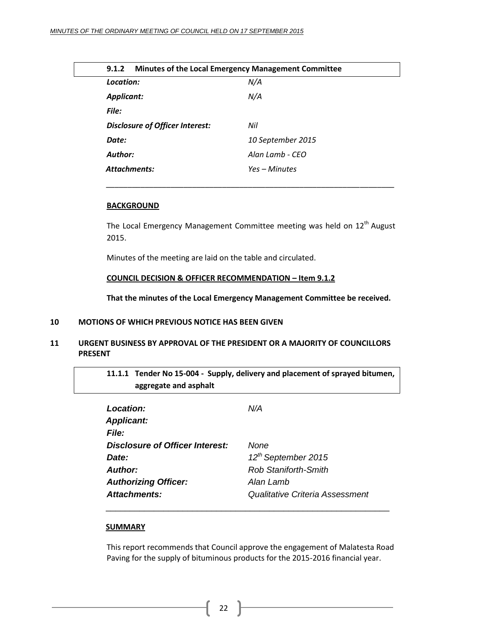<span id="page-21-0"></span>

| Minutes of the Local Emergency Management Committee<br>9.1.2 |  |
|--------------------------------------------------------------|--|
| N/A                                                          |  |
| N/A                                                          |  |
|                                                              |  |
| Nil                                                          |  |
| 10 September 2015                                            |  |
| Alan Lamb - CFO                                              |  |
| Yes – Minutes                                                |  |
|                                                              |  |

#### **BACKGROUND**

The Local Emergency Management Committee meeting was held on 12<sup>th</sup> August 2015.

Minutes of the meeting are laid on the table and circulated.

#### **COUNCIL DECISION & OFFICER RECOMMENDATION – Item 9.1.2**

**That the minutes of the Local Emergency Management Committee be received.**

#### <span id="page-21-1"></span>**10 MOTIONS OF WHICH PREVIOUS NOTICE HAS BEEN GIVEN**

#### <span id="page-21-2"></span>**11 URGENT BUSINESS BY APPROVAL OF THE PRESIDENT OR A MAJORITY OF COUNCILLORS PRESENT**

<span id="page-21-3"></span>**11.1.1 Tender No 15-004 - Supply, delivery and placement of sprayed bitumen, aggregate and asphalt**

| Location:<br><b>Applicant:</b><br><b>File:</b> | N/A                             |
|------------------------------------------------|---------------------------------|
|                                                |                                 |
| Disclosure of Officer Interest:                | None                            |
| Date:                                          | 12 <sup>th</sup> September 2015 |
| Author:                                        | <b>Rob Staniforth-Smith</b>     |
| <b>Authorizing Officer:</b>                    | Alan Lamb                       |
| Attachments:                                   | Qualitative Criteria Assessment |
|                                                |                                 |

#### **SUMMARY**

This report recommends that Council approve the engagement of Malatesta Road Paving for the supply of bituminous products for the 2015-2016 financial year.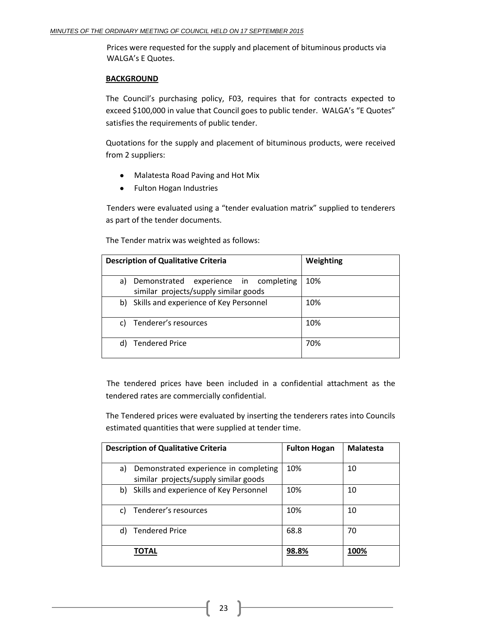Prices were requested for the supply and placement of bituminous products via WALGA's E Quotes.

#### **BACKGROUND**

The Council's purchasing policy, F03, requires that for contracts expected to exceed \$100,000 in value that Council goes to public tender. WALGA's "E Quotes" satisfies the requirements of public tender.

Quotations for the supply and placement of bituminous products, were received from 2 suppliers:

- $\bullet$ Malatesta Road Paving and Hot Mix
- $\bullet$ Fulton Hogan Industries

Tenders were evaluated using a "tender evaluation matrix" supplied to tenderers as part of the tender documents.

The Tender matrix was weighted as follows:

|    | <b>Description of Qualitative Criteria</b>                                     | Weighting |
|----|--------------------------------------------------------------------------------|-----------|
| a) | Demonstrated experience in completing<br>similar projects/supply similar goods | 10%       |
|    | b) Skills and experience of Key Personnel                                      | 10%       |
| C) | Tenderer's resources                                                           | 10%       |
|    | <b>Tendered Price</b>                                                          | 70%       |

The tendered prices have been included in a confidential attachment as the tendered rates are commercially confidential.

The Tendered prices were evaluated by inserting the tenderers rates into Councils estimated quantities that were supplied at tender time.

|    | <b>Description of Qualitative Criteria</b>                                     | <b>Fulton Hogan</b> | <b>Malatesta</b> |
|----|--------------------------------------------------------------------------------|---------------------|------------------|
| a) | Demonstrated experience in completing<br>similar projects/supply similar goods | 10%                 | 10               |
|    | b) Skills and experience of Key Personnel                                      | 10%                 | 10               |
| c) | Tenderer's resources                                                           | 10%                 | 10               |
| d) | <b>Tendered Price</b>                                                          | 68.8                | 70               |
|    | <b>TOTAL</b>                                                                   | 98.8%               | 100%             |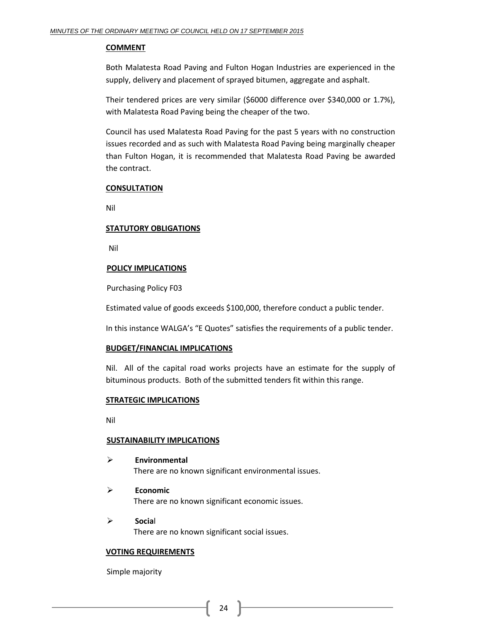#### **COMMENT**

Both Malatesta Road Paving and Fulton Hogan Industries are experienced in the supply, delivery and placement of sprayed bitumen, aggregate and asphalt.

Their tendered prices are very similar (\$6000 difference over \$340,000 or 1.7%), with Malatesta Road Paving being the cheaper of the two.

Council has used Malatesta Road Paving for the past 5 years with no construction issues recorded and as such with Malatesta Road Paving being marginally cheaper than Fulton Hogan, it is recommended that Malatesta Road Paving be awarded the contract.

#### **CONSULTATION**

Nil

#### **STATUTORY OBLIGATIONS**

Nil

#### **POLICY IMPLICATIONS**

Purchasing Policy F03

Estimated value of goods exceeds \$100,000, therefore conduct a public tender.

In this instance WALGA's "E Quotes" satisfies the requirements of a public tender.

#### **BUDGET/FINANCIAL IMPLICATIONS**

Nil. All of the capital road works projects have an estimate for the supply of bituminous products. Both of the submitted tenders fit within this range.

#### **STRATEGIC IMPLICATIONS**

Nil

#### **SUSTAINABILITY IMPLICATIONS**

- **Environmental** There are no known significant environmental issues.
- **Economic** There are no known significant economic issues.
- **Socia**l There are no known significant social issues.

#### **VOTING REQUIREMENTS**

Simple majority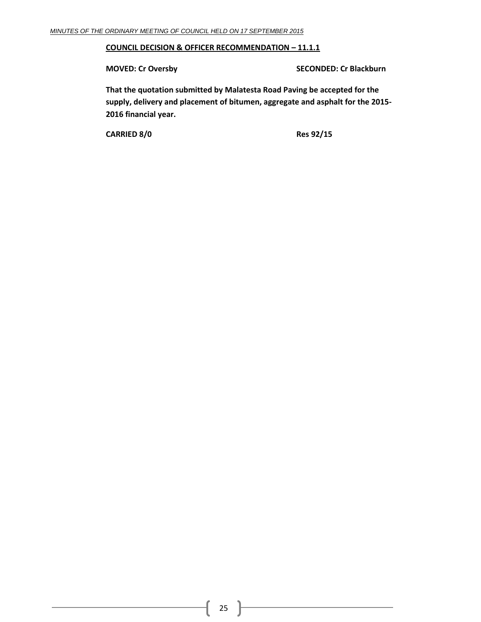#### **COUNCIL DECISION & OFFICER RECOMMENDATION – 11.1.1**

**MOVED: Cr Oversby SECONDED: Cr Blackburn**

**That the quotation submitted by Malatesta Road Paving be accepted for the supply, delivery and placement of bitumen, aggregate and asphalt for the 2015- 2016 financial year.**

**CARRIED 8/0 Res 92/15**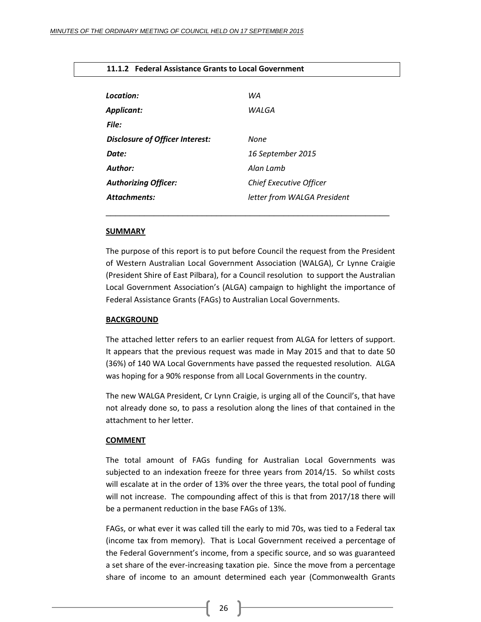#### <span id="page-25-0"></span>**11.1.2 Federal Assistance Grants to Local Government**

| Location:                       | WA                             |
|---------------------------------|--------------------------------|
| <b>Applicant:</b>               | WALGA                          |
| File:                           |                                |
| Disclosure of Officer Interest: | None                           |
| Date:                           | 16 September 2015              |
| Author:                         | Alan Lamb                      |
| <b>Authorizing Officer:</b>     | <b>Chief Executive Officer</b> |
| <b>Attachments:</b>             | letter from WALGA President    |
|                                 |                                |

#### **SUMMARY**

The purpose of this report is to put before Council the request from the President of Western Australian Local Government Association (WALGA), Cr Lynne Craigie (President Shire of East Pilbara), for a Council resolution to support the Australian Local Government Association's (ALGA) campaign to highlight the importance of Federal Assistance Grants (FAGs) to Australian Local Governments.

#### **BACKGROUND**

The attached letter refers to an earlier request from ALGA for letters of support. It appears that the previous request was made in May 2015 and that to date 50 (36%) of 140 WA Local Governments have passed the requested resolution. ALGA was hoping for a 90% response from all Local Governments in the country.

The new WALGA President, Cr Lynn Craigie, is urging all of the Council's, that have not already done so, to pass a resolution along the lines of that contained in the attachment to her letter.

#### **COMMENT**

The total amount of FAGs funding for Australian Local Governments was subjected to an indexation freeze for three years from 2014/15. So whilst costs will escalate at in the order of 13% over the three years, the total pool of funding will not increase. The compounding affect of this is that from 2017/18 there will be a permanent reduction in the base FAGs of 13%.

FAGs, or what ever it was called till the early to mid 70s, was tied to a Federal tax (income tax from memory). That is Local Government received a percentage of the Federal Government's income, from a specific source, and so was guaranteed a set share of the ever-increasing taxation pie. Since the move from a percentage share of income to an amount determined each year (Commonwealth Grants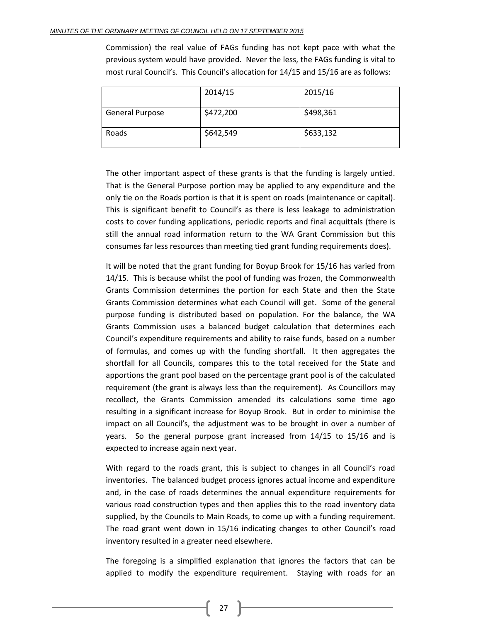Commission) the real value of FAGs funding has not kept pace with what the previous system would have provided. Never the less, the FAGs funding is vital to most rural Council's. This Council's allocation for 14/15 and 15/16 are as follows:

|                        | 2014/15   | 2015/16   |
|------------------------|-----------|-----------|
| <b>General Purpose</b> | \$472,200 | \$498,361 |
| Roads                  | \$642,549 | \$633,132 |

The other important aspect of these grants is that the funding is largely untied. That is the General Purpose portion may be applied to any expenditure and the only tie on the Roads portion is that it is spent on roads (maintenance or capital). This is significant benefit to Council's as there is less leakage to administration costs to cover funding applications, periodic reports and final acquittals (there is still the annual road information return to the WA Grant Commission but this consumes far less resources than meeting tied grant funding requirements does).

It will be noted that the grant funding for Boyup Brook for 15/16 has varied from 14/15. This is because whilst the pool of funding was frozen, the Commonwealth Grants Commission determines the portion for each State and then the State Grants Commission determines what each Council will get. Some of the general purpose funding is distributed based on population. For the balance, the WA Grants Commission uses a balanced budget calculation that determines each Council's expenditure requirements and ability to raise funds, based on a number of formulas, and comes up with the funding shortfall. It then aggregates the shortfall for all Councils, compares this to the total received for the State and apportions the grant pool based on the percentage grant pool is of the calculated requirement (the grant is always less than the requirement). As Councillors may recollect, the Grants Commission amended its calculations some time ago resulting in a significant increase for Boyup Brook. But in order to minimise the impact on all Council's, the adjustment was to be brought in over a number of years. So the general purpose grant increased from 14/15 to 15/16 and is expected to increase again next year.

With regard to the roads grant, this is subject to changes in all Council's road inventories. The balanced budget process ignores actual income and expenditure and, in the case of roads determines the annual expenditure requirements for various road construction types and then applies this to the road inventory data supplied, by the Councils to Main Roads, to come up with a funding requirement. The road grant went down in 15/16 indicating changes to other Council's road inventory resulted in a greater need elsewhere.

The foregoing is a simplified explanation that ignores the factors that can be applied to modify the expenditure requirement. Staying with roads for an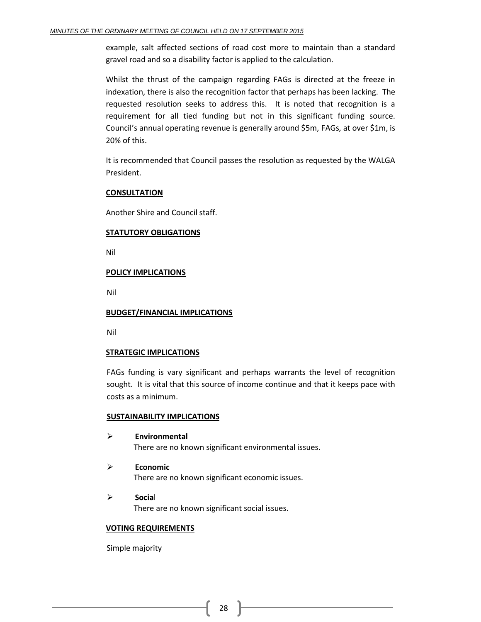example, salt affected sections of road cost more to maintain than a standard gravel road and so a disability factor is applied to the calculation.

Whilst the thrust of the campaign regarding FAGs is directed at the freeze in indexation, there is also the recognition factor that perhaps has been lacking. The requested resolution seeks to address this. It is noted that recognition is a requirement for all tied funding but not in this significant funding source. Council's annual operating revenue is generally around \$5m, FAGs, at over \$1m, is 20% of this.

It is recommended that Council passes the resolution as requested by the WALGA President.

#### **CONSULTATION**

Another Shire and Council staff.

#### **STATUTORY OBLIGATIONS**

Nil

#### **POLICY IMPLICATIONS**

Nil

#### **BUDGET/FINANCIAL IMPLICATIONS**

Nil

#### **STRATEGIC IMPLICATIONS**

FAGs funding is vary significant and perhaps warrants the level of recognition sought. It is vital that this source of income continue and that it keeps pace with costs as a minimum.

#### **SUSTAINABILITY IMPLICATIONS**

- **Environmental** There are no known significant environmental issues.
- **Economic** There are no known significant economic issues.
- **Socia**l There are no known significant social issues.

#### **VOTING REQUIREMENTS**

Simple majority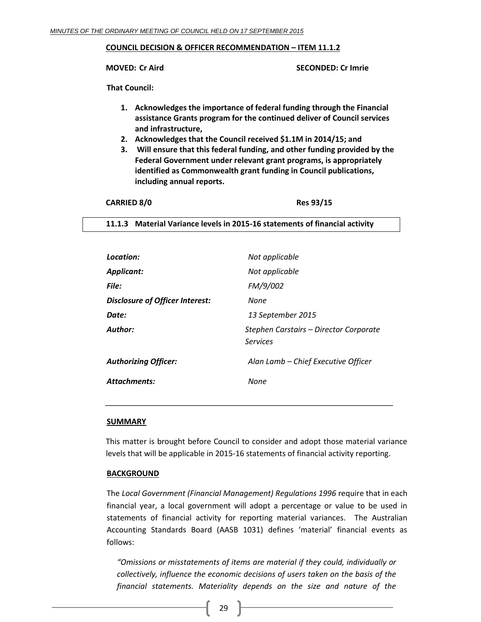#### **COUNCIL DECISION & OFFICER RECOMMENDATION – ITEM 11.1.2**

**MOVED: Cr Aird SECONDED: Cr Imrie**

**That Council:**

- **1. Acknowledges the importance of federal funding through the Financial assistance Grants program for the continued deliver of Council services and infrastructure,**
- **2. Acknowledges that the Council received \$1.1M in 2014/15; and**
- **3. Will ensure that this federal funding, and other funding provided by the Federal Government under relevant grant programs, is appropriately identified as Commonwealth grant funding in Council publications, including annual reports.**

| <b>CARRIED 8/0</b> | Res 93/15 |
|--------------------|-----------|
|--------------------|-----------|

<span id="page-28-0"></span>**11.1.3 Material Variance levels in 2015-16 statements of financial activity**

| Location:                              | Not applicable                                     |
|----------------------------------------|----------------------------------------------------|
| Applicant:                             | Not applicable                                     |
| File:                                  | FM/9/002                                           |
| <b>Disclosure of Officer Interest:</b> | None                                               |
| Date:                                  | 13 September 2015                                  |
| Author:                                | Stephen Carstairs – Director Corporate<br>Services |
| <b>Authorizing Officer:</b>            | Alan Lamb - Chief Executive Officer                |
| <b>Attachments:</b>                    | None                                               |

#### **SUMMARY**

This matter is brought before Council to consider and adopt those material variance levels that will be applicable in 2015-16 statements of financial activity reporting.

*\_\_\_\_\_\_\_\_\_\_\_\_\_\_\_\_\_\_\_\_\_\_\_\_\_\_\_\_\_\_\_\_\_\_\_\_\_\_\_\_\_\_\_\_\_\_\_\_\_\_\_\_\_\_\_\_\_\_\_\_\_\_\_\_\_\_\_*

#### **BACKGROUND**

The *Local Government (Financial Management) Regulations 1996* require that in each financial year, a local government will adopt a percentage or value to be used in statements of financial activity for reporting material variances. The Australian Accounting Standards Board (AASB 1031) defines 'material' financial events as follows:

*"Omissions or misstatements of items are material if they could, individually or collectively, influence the economic decisions of users taken on the basis of the financial statements. Materiality depends on the size and nature of the*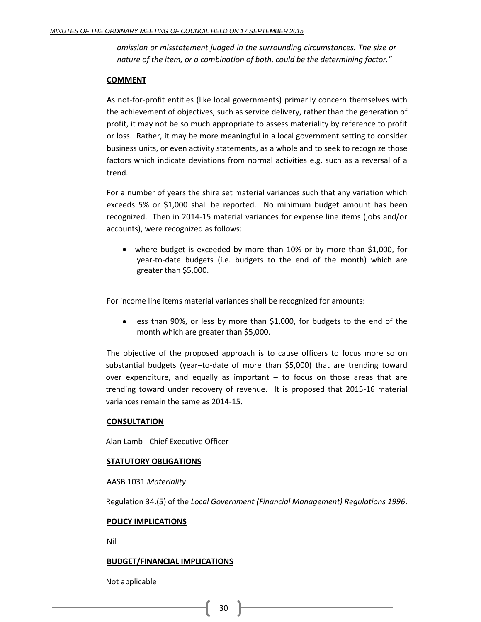*omission or misstatement judged in the surrounding circumstances. The size or nature of the item, or a combination of both, could be the determining factor."*

#### **COMMENT**

As not-for-profit entities (like local governments) primarily concern themselves with the achievement of objectives, such as service delivery, rather than the generation of profit, it may not be so much appropriate to assess materiality by reference to profit or loss. Rather, it may be more meaningful in a local government setting to consider business units, or even activity statements, as a whole and to seek to recognize those factors which indicate deviations from normal activities e.g. such as a reversal of a trend.

For a number of years the shire set material variances such that any variation which exceeds 5% or \$1,000 shall be reported. No minimum budget amount has been recognized. Then in 2014-15 material variances for expense line items (jobs and/or accounts), were recognized as follows:

where budget is exceeded by more than 10% or by more than \$1,000, for year-to-date budgets (i.e. budgets to the end of the month) which are greater than \$5,000.

For income line items material variances shall be recognized for amounts:

less than 90%, or less by more than \$1,000, for budgets to the end of the month which are greater than \$5,000.

The objective of the proposed approach is to cause officers to focus more so on substantial budgets (year–to-date of more than \$5,000) that are trending toward over expenditure, and equally as important – to focus on those areas that are trending toward under recovery of revenue. It is proposed that 2015-16 material variances remain the same as 2014-15.

#### **CONSULTATION**

Alan Lamb - Chief Executive Officer

#### **STATUTORY OBLIGATIONS**

AASB 1031 *Materiality*.

Regulation 34.(5) of the *Local Government (Financial Management) Regulations 1996*.

#### **POLICY IMPLICATIONS**

Nil

#### **BUDGET/FINANCIAL IMPLICATIONS**

Not applicable